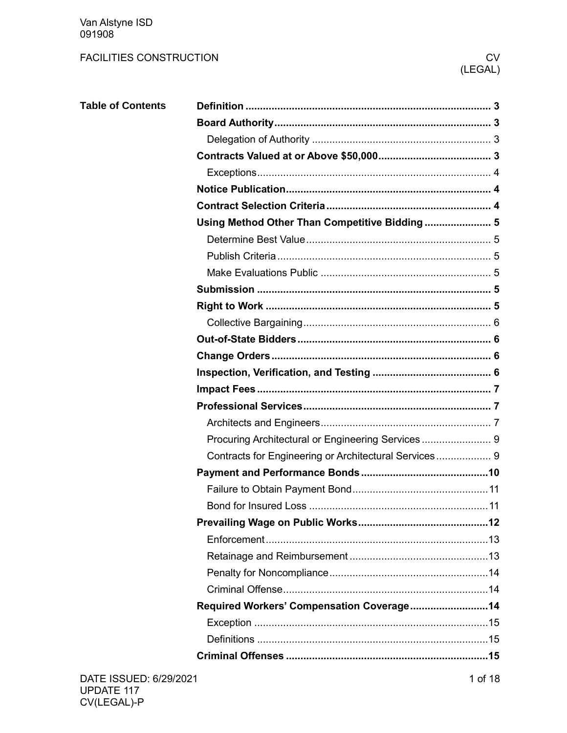Van Alstyne ISD<br>091908

| <b>Table of Contents</b> |                                                       |  |
|--------------------------|-------------------------------------------------------|--|
|                          |                                                       |  |
|                          |                                                       |  |
|                          |                                                       |  |
|                          |                                                       |  |
|                          |                                                       |  |
|                          |                                                       |  |
|                          | Using Method Other Than Competitive Bidding 5         |  |
|                          |                                                       |  |
|                          |                                                       |  |
|                          |                                                       |  |
|                          |                                                       |  |
|                          |                                                       |  |
|                          |                                                       |  |
|                          |                                                       |  |
|                          |                                                       |  |
|                          |                                                       |  |
|                          |                                                       |  |
|                          |                                                       |  |
|                          |                                                       |  |
|                          |                                                       |  |
|                          | Contracts for Engineering or Architectural Services 9 |  |
|                          |                                                       |  |
|                          |                                                       |  |
|                          |                                                       |  |
|                          |                                                       |  |
|                          |                                                       |  |
|                          |                                                       |  |
|                          |                                                       |  |
|                          |                                                       |  |
|                          | Required Workers' Compensation Coverage14             |  |
|                          |                                                       |  |
|                          |                                                       |  |
|                          |                                                       |  |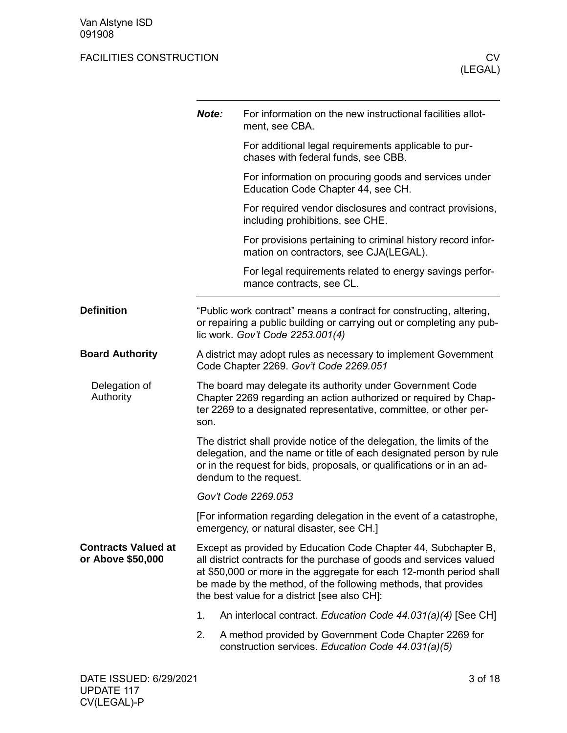<span id="page-2-3"></span><span id="page-2-2"></span><span id="page-2-1"></span><span id="page-2-0"></span>

|                                                 | Note:                                                                                                     | For information on the new instructional facilities allot-<br>ment, see CBA.                                                                                                                                                                                                                                                    |  |  |  |
|-------------------------------------------------|-----------------------------------------------------------------------------------------------------------|---------------------------------------------------------------------------------------------------------------------------------------------------------------------------------------------------------------------------------------------------------------------------------------------------------------------------------|--|--|--|
|                                                 |                                                                                                           | For additional legal requirements applicable to pur-<br>chases with federal funds, see CBB.                                                                                                                                                                                                                                     |  |  |  |
|                                                 |                                                                                                           | For information on procuring goods and services under<br>Education Code Chapter 44, see CH.                                                                                                                                                                                                                                     |  |  |  |
|                                                 |                                                                                                           | For required vendor disclosures and contract provisions,<br>including prohibitions, see CHE.                                                                                                                                                                                                                                    |  |  |  |
|                                                 |                                                                                                           | For provisions pertaining to criminal history record infor-<br>mation on contractors, see CJA(LEGAL).                                                                                                                                                                                                                           |  |  |  |
|                                                 |                                                                                                           | For legal requirements related to energy savings perfor-<br>mance contracts, see CL.                                                                                                                                                                                                                                            |  |  |  |
| <b>Definition</b>                               |                                                                                                           | "Public work contract" means a contract for constructing, altering,<br>or repairing a public building or carrying out or completing any pub-<br>lic work. Gov't Code 2253.001(4)                                                                                                                                                |  |  |  |
| <b>Board Authority</b>                          | A district may adopt rules as necessary to implement Government<br>Code Chapter 2269. Gov't Code 2269.051 |                                                                                                                                                                                                                                                                                                                                 |  |  |  |
| Delegation of<br>Authority                      | son.                                                                                                      | The board may delegate its authority under Government Code<br>Chapter 2269 regarding an action authorized or required by Chap-<br>ter 2269 to a designated representative, committee, or other per-                                                                                                                             |  |  |  |
|                                                 |                                                                                                           | The district shall provide notice of the delegation, the limits of the<br>delegation, and the name or title of each designated person by rule<br>or in the request for bids, proposals, or qualifications or in an ad-<br>dendum to the request.                                                                                |  |  |  |
|                                                 |                                                                                                           | Gov't Code 2269.053                                                                                                                                                                                                                                                                                                             |  |  |  |
|                                                 |                                                                                                           | [For information regarding delegation in the event of a catastrophe,<br>emergency, or natural disaster, see CH.]                                                                                                                                                                                                                |  |  |  |
| <b>Contracts Valued at</b><br>or Above \$50,000 |                                                                                                           | Except as provided by Education Code Chapter 44, Subchapter B,<br>all district contracts for the purchase of goods and services valued<br>at \$50,000 or more in the aggregate for each 12-month period shall<br>be made by the method, of the following methods, that provides<br>the best value for a district [see also CH]: |  |  |  |
|                                                 | 1.                                                                                                        | An interlocal contract. Education Code 44.031(a)(4) [See CH]                                                                                                                                                                                                                                                                    |  |  |  |
|                                                 | 2.                                                                                                        | A method provided by Government Code Chapter 2269 for<br>construction services. Education Code 44.031(a)(5)                                                                                                                                                                                                                     |  |  |  |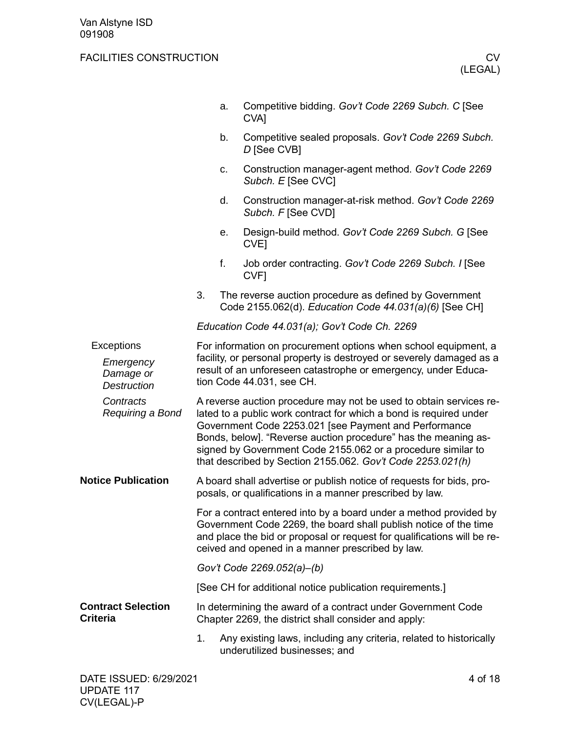<span id="page-3-2"></span><span id="page-3-1"></span><span id="page-3-0"></span>

|                                              |                                                                                                                                                                                                                                                                                                                                                                                                   | a. | Competitive bidding. Gov't Code 2269 Subch. C [See<br>CVA <sub>l</sub>                                                                                                                                                                                               |  |  |
|----------------------------------------------|---------------------------------------------------------------------------------------------------------------------------------------------------------------------------------------------------------------------------------------------------------------------------------------------------------------------------------------------------------------------------------------------------|----|----------------------------------------------------------------------------------------------------------------------------------------------------------------------------------------------------------------------------------------------------------------------|--|--|
|                                              |                                                                                                                                                                                                                                                                                                                                                                                                   | b. | Competitive sealed proposals. Gov't Code 2269 Subch.<br>D [See CVB]                                                                                                                                                                                                  |  |  |
|                                              |                                                                                                                                                                                                                                                                                                                                                                                                   | c. | Construction manager-agent method. Gov't Code 2269<br>Subch. E [See CVC]                                                                                                                                                                                             |  |  |
|                                              |                                                                                                                                                                                                                                                                                                                                                                                                   | d. | Construction manager-at-risk method. Gov't Code 2269<br>Subch. F [See CVD]                                                                                                                                                                                           |  |  |
|                                              |                                                                                                                                                                                                                                                                                                                                                                                                   | е. | Design-build method. Gov't Code 2269 Subch. G [See<br>CVE <sub>l</sub>                                                                                                                                                                                               |  |  |
|                                              |                                                                                                                                                                                                                                                                                                                                                                                                   | f. | Job order contracting. Gov't Code 2269 Subch. I [See<br>CVF <sub>1</sub>                                                                                                                                                                                             |  |  |
|                                              | 3.                                                                                                                                                                                                                                                                                                                                                                                                |    | The reverse auction procedure as defined by Government<br>Code 2155.062(d). Education Code 44.031(a)(6) [See CH]                                                                                                                                                     |  |  |
|                                              |                                                                                                                                                                                                                                                                                                                                                                                                   |    | Education Code 44.031(a); Gov't Code Ch. 2269                                                                                                                                                                                                                        |  |  |
| Exceptions                                   |                                                                                                                                                                                                                                                                                                                                                                                                   |    | For information on procurement options when school equipment, a                                                                                                                                                                                                      |  |  |
| Emergency<br>Damage or<br><b>Destruction</b> | facility, or personal property is destroyed or severely damaged as a<br>result of an unforeseen catastrophe or emergency, under Educa-<br>tion Code 44.031, see CH.                                                                                                                                                                                                                               |    |                                                                                                                                                                                                                                                                      |  |  |
| Contracts<br>Requiring a Bond                | A reverse auction procedure may not be used to obtain services re-<br>lated to a public work contract for which a bond is required under<br>Government Code 2253.021 [see Payment and Performance<br>Bonds, below]. "Reverse auction procedure" has the meaning as-<br>signed by Government Code 2155.062 or a procedure similar to<br>that described by Section 2155.062. Gov't Code 2253.021(h) |    |                                                                                                                                                                                                                                                                      |  |  |
| <b>Notice Publication</b>                    |                                                                                                                                                                                                                                                                                                                                                                                                   |    | A board shall advertise or publish notice of requests for bids, pro-<br>posals, or qualifications in a manner prescribed by law.                                                                                                                                     |  |  |
|                                              |                                                                                                                                                                                                                                                                                                                                                                                                   |    | For a contract entered into by a board under a method provided by<br>Government Code 2269, the board shall publish notice of the time<br>and place the bid or proposal or request for qualifications will be re-<br>ceived and opened in a manner prescribed by law. |  |  |
|                                              |                                                                                                                                                                                                                                                                                                                                                                                                   |    | Gov't Code 2269.052(a)-(b)                                                                                                                                                                                                                                           |  |  |
|                                              |                                                                                                                                                                                                                                                                                                                                                                                                   |    | [See CH for additional notice publication requirements.]                                                                                                                                                                                                             |  |  |
| <b>Contract Selection</b><br><b>Criteria</b> |                                                                                                                                                                                                                                                                                                                                                                                                   |    | In determining the award of a contract under Government Code<br>Chapter 2269, the district shall consider and apply:                                                                                                                                                 |  |  |
|                                              | 1.                                                                                                                                                                                                                                                                                                                                                                                                |    | Any existing laws, including any criteria, related to historically<br>underutilized businesses; and                                                                                                                                                                  |  |  |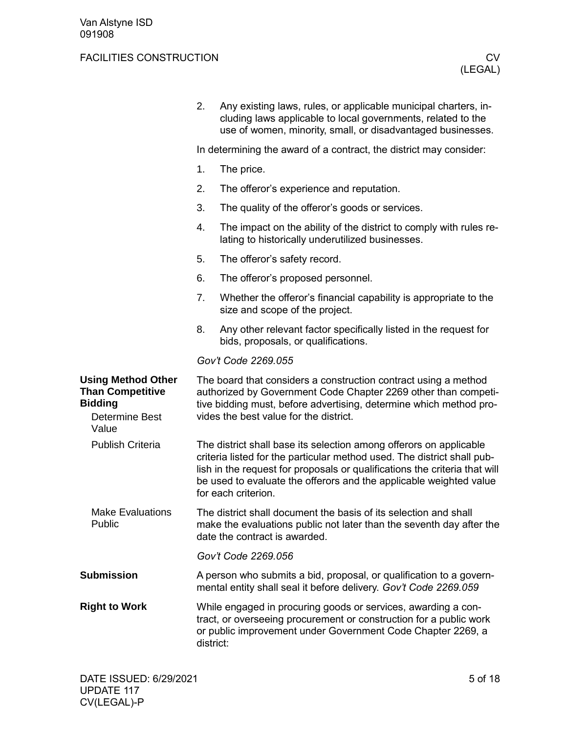<span id="page-4-5"></span><span id="page-4-4"></span><span id="page-4-3"></span><span id="page-4-2"></span><span id="page-4-1"></span><span id="page-4-0"></span>

|                                                                                                          | 2.                                                                 | Any existing laws, rules, or applicable municipal charters, in-<br>cluding laws applicable to local governments, related to the<br>use of women, minority, small, or disadvantaged businesses.                                                                                                                           |  |  |  |
|----------------------------------------------------------------------------------------------------------|--------------------------------------------------------------------|--------------------------------------------------------------------------------------------------------------------------------------------------------------------------------------------------------------------------------------------------------------------------------------------------------------------------|--|--|--|
|                                                                                                          | In determining the award of a contract, the district may consider: |                                                                                                                                                                                                                                                                                                                          |  |  |  |
|                                                                                                          | 1.                                                                 | The price.                                                                                                                                                                                                                                                                                                               |  |  |  |
|                                                                                                          | 2.                                                                 | The offeror's experience and reputation.                                                                                                                                                                                                                                                                                 |  |  |  |
|                                                                                                          | 3.                                                                 | The quality of the offeror's goods or services.                                                                                                                                                                                                                                                                          |  |  |  |
|                                                                                                          | 4.                                                                 | The impact on the ability of the district to comply with rules re-<br>lating to historically underutilized businesses.                                                                                                                                                                                                   |  |  |  |
|                                                                                                          | 5.                                                                 | The offeror's safety record.                                                                                                                                                                                                                                                                                             |  |  |  |
|                                                                                                          | 6.                                                                 | The offeror's proposed personnel.                                                                                                                                                                                                                                                                                        |  |  |  |
|                                                                                                          | 7.                                                                 | Whether the offeror's financial capability is appropriate to the<br>size and scope of the project.                                                                                                                                                                                                                       |  |  |  |
|                                                                                                          | 8.                                                                 | Any other relevant factor specifically listed in the request for<br>bids, proposals, or qualifications.                                                                                                                                                                                                                  |  |  |  |
|                                                                                                          |                                                                    | Gov't Code 2269.055                                                                                                                                                                                                                                                                                                      |  |  |  |
| <b>Using Method Other</b><br><b>Than Competitive</b><br><b>Bidding</b><br><b>Determine Best</b><br>Value |                                                                    | The board that considers a construction contract using a method<br>authorized by Government Code Chapter 2269 other than competi-<br>tive bidding must, before advertising, determine which method pro-<br>vides the best value for the district.                                                                        |  |  |  |
| <b>Publish Criteria</b>                                                                                  |                                                                    | The district shall base its selection among offerors on applicable<br>criteria listed for the particular method used. The district shall pub-<br>lish in the request for proposals or qualifications the criteria that will<br>be used to evaluate the offerors and the applicable weighted value<br>for each criterion. |  |  |  |
| <b>Make Evaluations</b><br>Public                                                                        |                                                                    | The district shall document the basis of its selection and shall<br>make the evaluations public not later than the seventh day after the<br>date the contract is awarded.                                                                                                                                                |  |  |  |
|                                                                                                          |                                                                    | Gov't Code 2269.056                                                                                                                                                                                                                                                                                                      |  |  |  |
| <b>Submission</b>                                                                                        |                                                                    | A person who submits a bid, proposal, or qualification to a govern-<br>mental entity shall seal it before delivery. Gov't Code 2269.059                                                                                                                                                                                  |  |  |  |
| <b>Right to Work</b>                                                                                     |                                                                    | While engaged in procuring goods or services, awarding a con-<br>tract, or overseeing procurement or construction for a public work<br>or public improvement under Government Code Chapter 2269, a<br>district:                                                                                                          |  |  |  |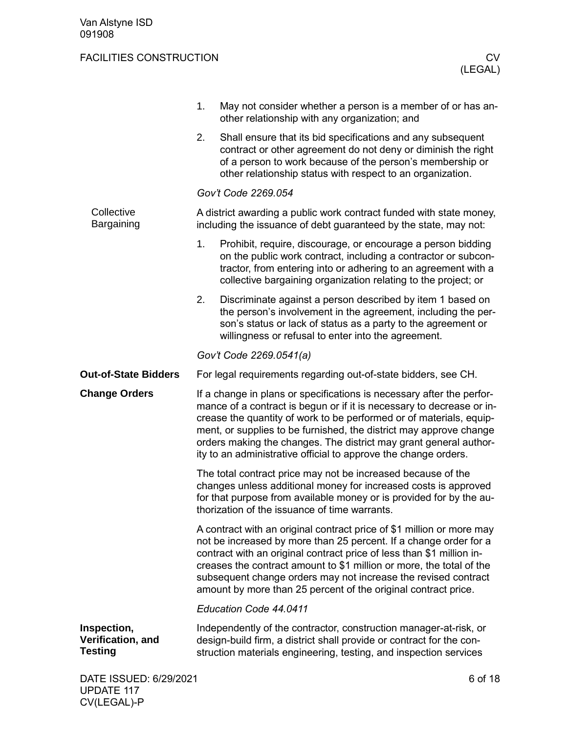<span id="page-5-3"></span>CV(LEGAL)-P

<span id="page-5-2"></span><span id="page-5-1"></span><span id="page-5-0"></span>

|                                                    | 1. | May not consider whether a person is a member of or has an-<br>other relationship with any organization; and                                                                                                                                                                                                                                                                                                                        |         |
|----------------------------------------------------|----|-------------------------------------------------------------------------------------------------------------------------------------------------------------------------------------------------------------------------------------------------------------------------------------------------------------------------------------------------------------------------------------------------------------------------------------|---------|
|                                                    | 2. | Shall ensure that its bid specifications and any subsequent<br>contract or other agreement do not deny or diminish the right<br>of a person to work because of the person's membership or<br>other relationship status with respect to an organization.                                                                                                                                                                             |         |
|                                                    |    | Gov't Code 2269.054                                                                                                                                                                                                                                                                                                                                                                                                                 |         |
| Collective<br>Bargaining                           |    | A district awarding a public work contract funded with state money,<br>including the issuance of debt guaranteed by the state, may not:                                                                                                                                                                                                                                                                                             |         |
|                                                    | 1. | Prohibit, require, discourage, or encourage a person bidding<br>on the public work contract, including a contractor or subcon-<br>tractor, from entering into or adhering to an agreement with a<br>collective bargaining organization relating to the project; or                                                                                                                                                                  |         |
|                                                    | 2. | Discriminate against a person described by item 1 based on<br>the person's involvement in the agreement, including the per-<br>son's status or lack of status as a party to the agreement or<br>willingness or refusal to enter into the agreement.                                                                                                                                                                                 |         |
|                                                    |    | Gov't Code 2269.0541(a)                                                                                                                                                                                                                                                                                                                                                                                                             |         |
| <b>Out-of-State Bidders</b>                        |    | For legal requirements regarding out-of-state bidders, see CH.                                                                                                                                                                                                                                                                                                                                                                      |         |
| <b>Change Orders</b>                               |    | If a change in plans or specifications is necessary after the perfor-<br>mance of a contract is begun or if it is necessary to decrease or in-<br>crease the quantity of work to be performed or of materials, equip-<br>ment, or supplies to be furnished, the district may approve change<br>orders making the changes. The district may grant general author-<br>ity to an administrative official to approve the change orders. |         |
|                                                    |    | The total contract price may not be increased because of the<br>changes unless additional money for increased costs is approved<br>for that purpose from available money or is provided for by the au-<br>thorization of the issuance of time warrants.                                                                                                                                                                             |         |
|                                                    |    | A contract with an original contract price of \$1 million or more may<br>not be increased by more than 25 percent. If a change order for a<br>contract with an original contract price of less than \$1 million in-<br>creases the contract amount to \$1 million or more, the total of the<br>subsequent change orders may not increase the revised contract<br>amount by more than 25 percent of the original contract price.     |         |
|                                                    |    | Education Code 44.0411                                                                                                                                                                                                                                                                                                                                                                                                              |         |
| Inspection,<br>Verification, and<br><b>Testing</b> |    | Independently of the contractor, construction manager-at-risk, or<br>design-build firm, a district shall provide or contract for the con-<br>struction materials engineering, testing, and inspection services                                                                                                                                                                                                                      |         |
| DATE ISSUED: 6/29/2021<br><b>UPDATE 117</b>        |    |                                                                                                                                                                                                                                                                                                                                                                                                                                     | 6 of 18 |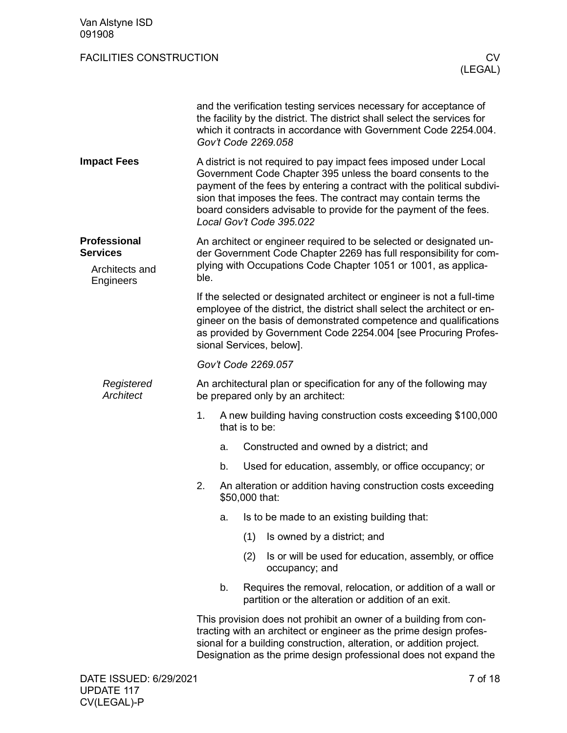<span id="page-6-2"></span><span id="page-6-1"></span><span id="page-6-0"></span>

| Van Alstyne ISD<br>091908                                             |      |    |                |                                                                                                                                                                                                                                                                                                                                                                                |
|-----------------------------------------------------------------------|------|----|----------------|--------------------------------------------------------------------------------------------------------------------------------------------------------------------------------------------------------------------------------------------------------------------------------------------------------------------------------------------------------------------------------|
| <b>FACILITIES CONSTRUCTION</b>                                        |      |    |                | CV.<br>(LEGAL)                                                                                                                                                                                                                                                                                                                                                                 |
|                                                                       |      |    |                | and the verification testing services necessary for acceptance of<br>the facility by the district. The district shall select the services for<br>which it contracts in accordance with Government Code 2254.004.<br>Gov't Code 2269.058                                                                                                                                        |
| <b>Impact Fees</b>                                                    |      |    |                | A district is not required to pay impact fees imposed under Local<br>Government Code Chapter 395 unless the board consents to the<br>payment of the fees by entering a contract with the political subdivi-<br>sion that imposes the fees. The contract may contain terms the<br>board considers advisable to provide for the payment of the fees.<br>Local Gov't Code 395.022 |
| <b>Professional</b><br><b>Services</b><br>Architects and<br>Engineers | ble. |    |                | An architect or engineer required to be selected or designated un-<br>der Government Code Chapter 2269 has full responsibility for com-<br>plying with Occupations Code Chapter 1051 or 1001, as applica-                                                                                                                                                                      |
|                                                                       |      |    |                | If the selected or designated architect or engineer is not a full-time<br>employee of the district, the district shall select the architect or en-<br>gineer on the basis of demonstrated competence and qualifications<br>as provided by Government Code 2254.004 [see Procuring Profes-<br>sional Services, below].                                                          |
|                                                                       |      |    |                | Gov't Code 2269.057                                                                                                                                                                                                                                                                                                                                                            |
| Registered<br>Architect                                               |      |    |                | An architectural plan or specification for any of the following may<br>be prepared only by an architect:                                                                                                                                                                                                                                                                       |
|                                                                       | 1.   |    | that is to be: | A new building having construction costs exceeding \$100,000                                                                                                                                                                                                                                                                                                                   |
|                                                                       |      | a. |                | Constructed and owned by a district; and                                                                                                                                                                                                                                                                                                                                       |
|                                                                       |      | b. |                | Used for education, assembly, or office occupancy; or                                                                                                                                                                                                                                                                                                                          |
|                                                                       | 2.   |    | \$50,000 that: | An alteration or addition having construction costs exceeding                                                                                                                                                                                                                                                                                                                  |
|                                                                       |      | a. |                | Is to be made to an existing building that:                                                                                                                                                                                                                                                                                                                                    |
|                                                                       |      |    | (1)            | Is owned by a district; and                                                                                                                                                                                                                                                                                                                                                    |
|                                                                       |      |    | (2)            | Is or will be used for education, assembly, or office<br>occupancy; and                                                                                                                                                                                                                                                                                                        |
|                                                                       |      | b. |                | Requires the removal, relocation, or addition of a wall or<br>partition or the alteration or addition of an exit.                                                                                                                                                                                                                                                              |
|                                                                       |      |    |                | This provision does not prohibit an owner of a building from con-<br>tracting with an architect or engineer as the prime design profes-<br>sional for a building construction, alteration, or addition project.<br>Designation as the prime design professional does not expand the                                                                                            |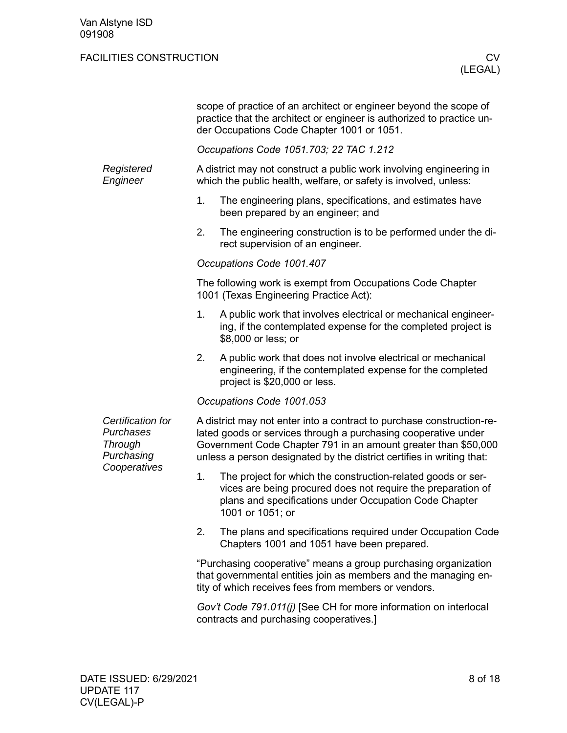|                                                                                |                                                                                                             | scope of practice of an architect or engineer beyond the scope of<br>practice that the architect or engineer is authorized to practice un-<br>der Occupations Code Chapter 1001 or 1051.                                                                                           |  |  |  |  |  |  |
|--------------------------------------------------------------------------------|-------------------------------------------------------------------------------------------------------------|------------------------------------------------------------------------------------------------------------------------------------------------------------------------------------------------------------------------------------------------------------------------------------|--|--|--|--|--|--|
|                                                                                |                                                                                                             | Occupations Code 1051.703; 22 TAC 1.212                                                                                                                                                                                                                                            |  |  |  |  |  |  |
| Registered<br>Engineer                                                         |                                                                                                             | A district may not construct a public work involving engineering in<br>which the public health, welfare, or safety is involved, unless:                                                                                                                                            |  |  |  |  |  |  |
|                                                                                | 1.                                                                                                          | The engineering plans, specifications, and estimates have<br>been prepared by an engineer; and                                                                                                                                                                                     |  |  |  |  |  |  |
|                                                                                | 2.                                                                                                          | The engineering construction is to be performed under the di-<br>rect supervision of an engineer.                                                                                                                                                                                  |  |  |  |  |  |  |
|                                                                                |                                                                                                             | Occupations Code 1001.407                                                                                                                                                                                                                                                          |  |  |  |  |  |  |
|                                                                                |                                                                                                             | The following work is exempt from Occupations Code Chapter<br>1001 (Texas Engineering Practice Act):                                                                                                                                                                               |  |  |  |  |  |  |
|                                                                                | 1.                                                                                                          | A public work that involves electrical or mechanical engineer-<br>ing, if the contemplated expense for the completed project is<br>\$8,000 or less; or                                                                                                                             |  |  |  |  |  |  |
|                                                                                | 2.                                                                                                          | A public work that does not involve electrical or mechanical<br>engineering, if the contemplated expense for the completed<br>project is \$20,000 or less.                                                                                                                         |  |  |  |  |  |  |
|                                                                                |                                                                                                             | Occupations Code 1001.053                                                                                                                                                                                                                                                          |  |  |  |  |  |  |
| Certification for<br>Purchases<br><b>Through</b><br>Purchasing<br>Cooperatives |                                                                                                             | A district may not enter into a contract to purchase construction-re-<br>lated goods or services through a purchasing cooperative under<br>Government Code Chapter 791 in an amount greater than \$50,000<br>unless a person designated by the district certifies in writing that: |  |  |  |  |  |  |
|                                                                                | 1.                                                                                                          | The project for which the construction-related goods or ser-<br>vices are being procured does not require the preparation of<br>plans and specifications under Occupation Code Chapter<br>1001 or 1051; or                                                                         |  |  |  |  |  |  |
|                                                                                | 2.                                                                                                          | The plans and specifications required under Occupation Code<br>Chapters 1001 and 1051 have been prepared.                                                                                                                                                                          |  |  |  |  |  |  |
|                                                                                |                                                                                                             | "Purchasing cooperative" means a group purchasing organization<br>that governmental entities join as members and the managing en-<br>tity of which receives fees from members or vendors.                                                                                          |  |  |  |  |  |  |
|                                                                                | Gov't Code 791.011(j) [See CH for more information on interlocal<br>contracts and purchasing cooperatives.] |                                                                                                                                                                                                                                                                                    |  |  |  |  |  |  |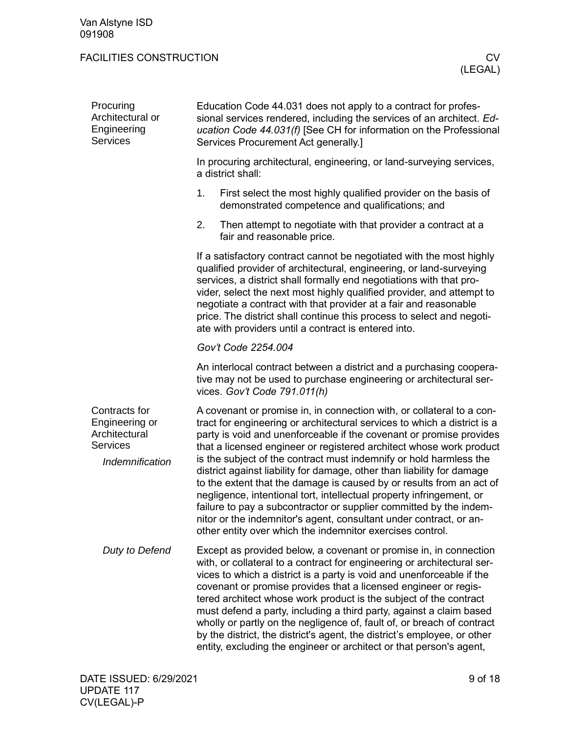<span id="page-8-1"></span><span id="page-8-0"></span>

| Procuring<br>Architectural or<br>Engineering<br><b>Services</b>                        | Education Code 44.031 does not apply to a contract for profes-<br>sional services rendered, including the services of an architect. Ed-<br>ucation Code 44.031(f) [See CH for information on the Professional<br>Services Procurement Act generally.]                                                                                                                                                                                                                                                                                                                                                                                                                                                                                                                                                    |  |  |  |  |  |  |  |
|----------------------------------------------------------------------------------------|----------------------------------------------------------------------------------------------------------------------------------------------------------------------------------------------------------------------------------------------------------------------------------------------------------------------------------------------------------------------------------------------------------------------------------------------------------------------------------------------------------------------------------------------------------------------------------------------------------------------------------------------------------------------------------------------------------------------------------------------------------------------------------------------------------|--|--|--|--|--|--|--|
|                                                                                        | In procuring architectural, engineering, or land-surveying services,<br>a district shall:                                                                                                                                                                                                                                                                                                                                                                                                                                                                                                                                                                                                                                                                                                                |  |  |  |  |  |  |  |
|                                                                                        | 1.<br>First select the most highly qualified provider on the basis of<br>demonstrated competence and qualifications; and                                                                                                                                                                                                                                                                                                                                                                                                                                                                                                                                                                                                                                                                                 |  |  |  |  |  |  |  |
|                                                                                        | 2.<br>Then attempt to negotiate with that provider a contract at a<br>fair and reasonable price.                                                                                                                                                                                                                                                                                                                                                                                                                                                                                                                                                                                                                                                                                                         |  |  |  |  |  |  |  |
|                                                                                        | If a satisfactory contract cannot be negotiated with the most highly<br>qualified provider of architectural, engineering, or land-surveying<br>services, a district shall formally end negotiations with that pro-<br>vider, select the next most highly qualified provider, and attempt to<br>negotiate a contract with that provider at a fair and reasonable<br>price. The district shall continue this process to select and negoti-<br>ate with providers until a contract is entered into.                                                                                                                                                                                                                                                                                                         |  |  |  |  |  |  |  |
|                                                                                        | Gov't Code 2254.004                                                                                                                                                                                                                                                                                                                                                                                                                                                                                                                                                                                                                                                                                                                                                                                      |  |  |  |  |  |  |  |
|                                                                                        | An interlocal contract between a district and a purchasing coopera-<br>tive may not be used to purchase engineering or architectural ser-<br>vices. Gov't Code 791.011(h)                                                                                                                                                                                                                                                                                                                                                                                                                                                                                                                                                                                                                                |  |  |  |  |  |  |  |
| Contracts for<br>Engineering or<br>Architectural<br><b>Services</b><br>Indemnification | A covenant or promise in, in connection with, or collateral to a con-<br>tract for engineering or architectural services to which a district is a<br>party is void and unenforceable if the covenant or promise provides<br>that a licensed engineer or registered architect whose work product<br>is the subject of the contract must indemnify or hold harmless the<br>district against liability for damage, other than liability for damage<br>to the extent that the damage is caused by or results from an act of<br>negligence, intentional tort, intellectual property infringement, or<br>failure to pay a subcontractor or supplier committed by the indem-<br>nitor or the indemnitor's agent, consultant under contract, or an-<br>other entity over which the indemnitor exercises control. |  |  |  |  |  |  |  |
| Duty to Defend                                                                         | Except as provided below, a covenant or promise in, in connection<br>with, or collateral to a contract for engineering or architectural ser-<br>vices to which a district is a party is void and unenforceable if the<br>covenant or promise provides that a licensed engineer or regis-<br>tered architect whose work product is the subject of the contract<br>must defend a party, including a third party, against a claim based<br>wholly or partly on the negligence of, fault of, or breach of contract<br>by the district, the district's agent, the district's employee, or other<br>entity, excluding the engineer or architect or that person's agent,                                                                                                                                        |  |  |  |  |  |  |  |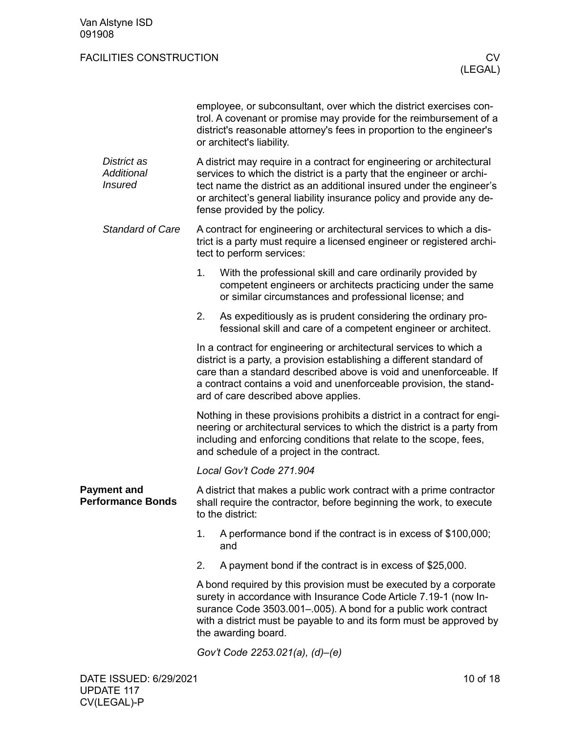<span id="page-9-0"></span>

|                                                    |    | employee, or subconsultant, over which the district exercises con-<br>trol. A covenant or promise may provide for the reimbursement of a<br>district's reasonable attorney's fees in proportion to the engineer's<br>or architect's liability.                                                                                   |  |  |  |  |  |  |  |
|----------------------------------------------------|----|----------------------------------------------------------------------------------------------------------------------------------------------------------------------------------------------------------------------------------------------------------------------------------------------------------------------------------|--|--|--|--|--|--|--|
| District as<br><b>Additional</b><br><b>Insured</b> |    | A district may require in a contract for engineering or architectural<br>services to which the district is a party that the engineer or archi-<br>tect name the district as an additional insured under the engineer's<br>or architect's general liability insurance policy and provide any de-<br>fense provided by the policy. |  |  |  |  |  |  |  |
| <b>Standard of Care</b>                            |    | A contract for engineering or architectural services to which a dis-<br>trict is a party must require a licensed engineer or registered archi-<br>tect to perform services:                                                                                                                                                      |  |  |  |  |  |  |  |
|                                                    | 1. | With the professional skill and care ordinarily provided by<br>competent engineers or architects practicing under the same<br>or similar circumstances and professional license; and                                                                                                                                             |  |  |  |  |  |  |  |
|                                                    | 2. | As expeditiously as is prudent considering the ordinary pro-<br>fessional skill and care of a competent engineer or architect.                                                                                                                                                                                                   |  |  |  |  |  |  |  |
|                                                    |    | In a contract for engineering or architectural services to which a<br>district is a party, a provision establishing a different standard of<br>care than a standard described above is void and unenforceable. If<br>a contract contains a void and unenforceable provision, the stand-<br>ard of care described above applies.  |  |  |  |  |  |  |  |
|                                                    |    | Nothing in these provisions prohibits a district in a contract for engi-<br>neering or architectural services to which the district is a party from<br>including and enforcing conditions that relate to the scope, fees,<br>and schedule of a project in the contract.                                                          |  |  |  |  |  |  |  |
|                                                    |    | Local Gov't Code 271.904                                                                                                                                                                                                                                                                                                         |  |  |  |  |  |  |  |
| <b>Payment and</b><br><b>Performance Bonds</b>     |    | A district that makes a public work contract with a prime contractor<br>shall require the contractor, before beginning the work, to execute<br>to the district:                                                                                                                                                                  |  |  |  |  |  |  |  |
|                                                    | 1. | A performance bond if the contract is in excess of \$100,000;<br>and                                                                                                                                                                                                                                                             |  |  |  |  |  |  |  |
|                                                    | 2. | A payment bond if the contract is in excess of \$25,000.                                                                                                                                                                                                                                                                         |  |  |  |  |  |  |  |
|                                                    |    | A bond required by this provision must be executed by a corporate<br>surety in accordance with Insurance Code Article 7.19-1 (now In-<br>surance Code 3503.001-.005). A bond for a public work contract<br>with a district must be payable to and its form must be approved by<br>the awarding board.                            |  |  |  |  |  |  |  |
|                                                    |    | Gov't Code 2253.021(a), (d)-(e)                                                                                                                                                                                                                                                                                                  |  |  |  |  |  |  |  |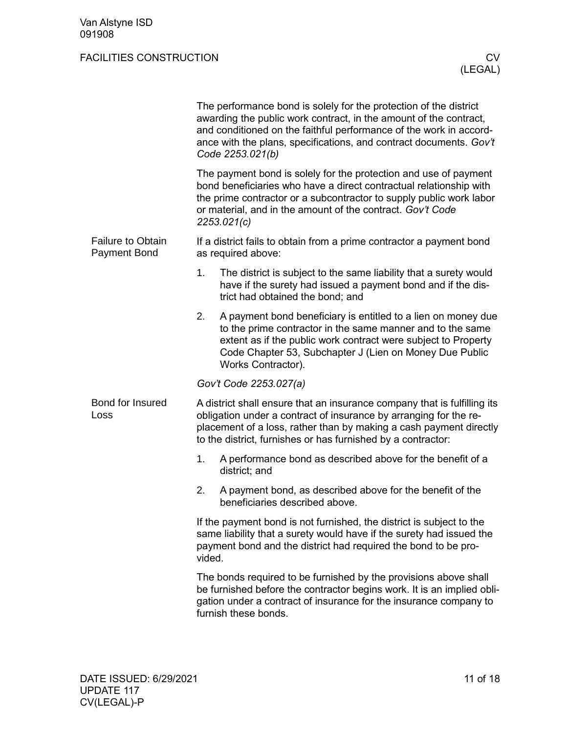<span id="page-10-1"></span><span id="page-10-0"></span>

|                                                 | The performance bond is solely for the protection of the district<br>awarding the public work contract, in the amount of the contract,<br>and conditioned on the faithful performance of the work in accord-<br>ance with the plans, specifications, and contract documents. Gov't<br>Code 2253.021(b) |
|-------------------------------------------------|--------------------------------------------------------------------------------------------------------------------------------------------------------------------------------------------------------------------------------------------------------------------------------------------------------|
|                                                 | The payment bond is solely for the protection and use of payment<br>bond beneficiaries who have a direct contractual relationship with<br>the prime contractor or a subcontractor to supply public work labor<br>or material, and in the amount of the contract. Gov't Code<br>2253.021(c)             |
| <b>Failure to Obtain</b><br><b>Payment Bond</b> | If a district fails to obtain from a prime contractor a payment bond<br>as required above:                                                                                                                                                                                                             |
|                                                 | 1.<br>The district is subject to the same liability that a surety would<br>have if the surety had issued a payment bond and if the dis-<br>trict had obtained the bond; and                                                                                                                            |
|                                                 | A payment bond beneficiary is entitled to a lien on money due<br>2.<br>to the prime contractor in the same manner and to the same<br>extent as if the public work contract were subject to Property<br>Code Chapter 53, Subchapter J (Lien on Money Due Public<br>Works Contractor).                   |
|                                                 | Gov't Code 2253.027(a)                                                                                                                                                                                                                                                                                 |
| Bond for Insured<br>Loss                        | A district shall ensure that an insurance company that is fulfilling its<br>obligation under a contract of insurance by arranging for the re-<br>placement of a loss, rather than by making a cash payment directly<br>to the district, furnishes or has furnished by a contractor:                    |
|                                                 | A performance bond as described above for the benefit of a<br>1.<br>district; and                                                                                                                                                                                                                      |
|                                                 | 2.<br>A payment bond, as described above for the benefit of the<br>beneficiaries described above.                                                                                                                                                                                                      |
|                                                 | If the payment bond is not furnished, the district is subject to the<br>same liability that a surety would have if the surety had issued the<br>payment bond and the district had required the bond to be pro-<br>vided.                                                                               |
|                                                 | The bonds required to be furnished by the provisions above shall<br>be furnished before the contractor begins work. It is an implied obli-<br>gation under a contract of insurance for the insurance company to<br>furnish these bonds.                                                                |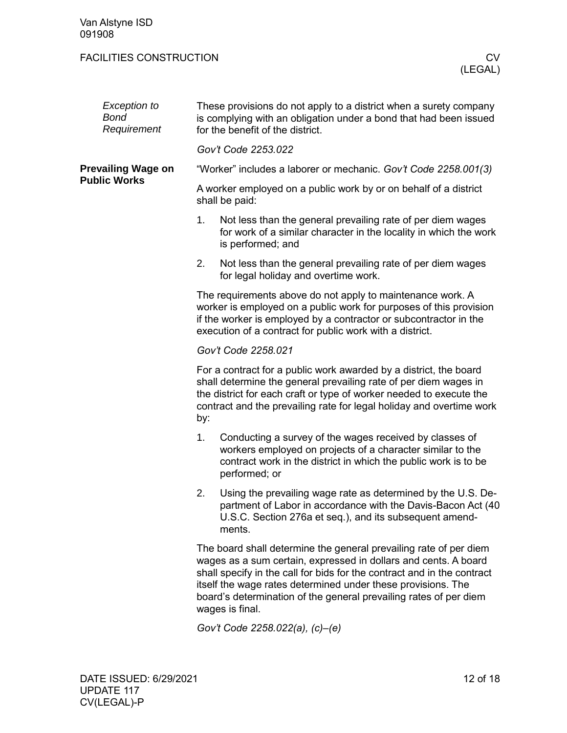<span id="page-11-0"></span>

| Exception to<br>Bond<br>Requirement | These provisions do not apply to a district when a surety company<br>is complying with an obligation under a bond that had been issued<br>for the benefit of the district.                                                                                                                                                                                              |  |  |  |  |  |  |
|-------------------------------------|-------------------------------------------------------------------------------------------------------------------------------------------------------------------------------------------------------------------------------------------------------------------------------------------------------------------------------------------------------------------------|--|--|--|--|--|--|
|                                     | Gov't Code 2253.022                                                                                                                                                                                                                                                                                                                                                     |  |  |  |  |  |  |
| <b>Prevailing Wage on</b>           | "Worker" includes a laborer or mechanic. Gov't Code 2258.001(3)                                                                                                                                                                                                                                                                                                         |  |  |  |  |  |  |
| <b>Public Works</b>                 | A worker employed on a public work by or on behalf of a district<br>shall be paid:                                                                                                                                                                                                                                                                                      |  |  |  |  |  |  |
|                                     | Not less than the general prevailing rate of per diem wages<br>1.<br>for work of a similar character in the locality in which the work<br>is performed; and                                                                                                                                                                                                             |  |  |  |  |  |  |
|                                     | 2.<br>Not less than the general prevailing rate of per diem wages<br>for legal holiday and overtime work.                                                                                                                                                                                                                                                               |  |  |  |  |  |  |
|                                     | The requirements above do not apply to maintenance work. A<br>worker is employed on a public work for purposes of this provision<br>if the worker is employed by a contractor or subcontractor in the<br>execution of a contract for public work with a district.                                                                                                       |  |  |  |  |  |  |
|                                     | Gov't Code 2258.021                                                                                                                                                                                                                                                                                                                                                     |  |  |  |  |  |  |
|                                     | For a contract for a public work awarded by a district, the board<br>shall determine the general prevailing rate of per diem wages in<br>the district for each craft or type of worker needed to execute the<br>contract and the prevailing rate for legal holiday and overtime work<br>by:                                                                             |  |  |  |  |  |  |
|                                     | Conducting a survey of the wages received by classes of<br>1 <sub>1</sub><br>workers employed on projects of a character similar to the<br>contract work in the district in which the public work is to be<br>performed; or                                                                                                                                             |  |  |  |  |  |  |
|                                     | 2.<br>Using the prevailing wage rate as determined by the U.S. De-<br>partment of Labor in accordance with the Davis-Bacon Act (40<br>U.S.C. Section 276a et seq.), and its subsequent amend-<br>ments.                                                                                                                                                                 |  |  |  |  |  |  |
|                                     | The board shall determine the general prevailing rate of per diem<br>wages as a sum certain, expressed in dollars and cents. A board<br>shall specify in the call for bids for the contract and in the contract<br>itself the wage rates determined under these provisions. The<br>board's determination of the general prevailing rates of per diem<br>wages is final. |  |  |  |  |  |  |

*Gov't Code 2258.022(a), (c)–(e)*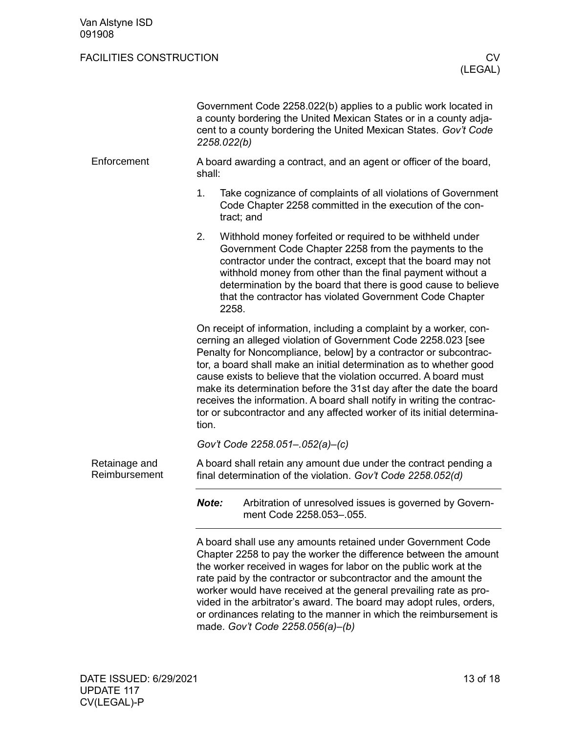<span id="page-12-1"></span><span id="page-12-0"></span>

|                                | 2258.022(b)                                                                  | Government Code 2258.022(b) applies to a public work located in<br>a county bordering the United Mexican States or in a county adja-<br>cent to a county bordering the United Mexican States. Gov't Code                                                                                                                                                                                                                                                                                                                                                                       |  |
|--------------------------------|------------------------------------------------------------------------------|--------------------------------------------------------------------------------------------------------------------------------------------------------------------------------------------------------------------------------------------------------------------------------------------------------------------------------------------------------------------------------------------------------------------------------------------------------------------------------------------------------------------------------------------------------------------------------|--|
| Enforcement                    | A board awarding a contract, and an agent or officer of the board,<br>shall: |                                                                                                                                                                                                                                                                                                                                                                                                                                                                                                                                                                                |  |
|                                | 1.                                                                           | Take cognizance of complaints of all violations of Government<br>Code Chapter 2258 committed in the execution of the con-<br>tract; and                                                                                                                                                                                                                                                                                                                                                                                                                                        |  |
|                                | 2.                                                                           | Withhold money forfeited or required to be withheld under<br>Government Code Chapter 2258 from the payments to the<br>contractor under the contract, except that the board may not<br>withhold money from other than the final payment without a<br>determination by the board that there is good cause to believe<br>that the contractor has violated Government Code Chapter<br>2258.                                                                                                                                                                                        |  |
|                                | tion.                                                                        | On receipt of information, including a complaint by a worker, con-<br>cerning an alleged violation of Government Code 2258.023 [see<br>Penalty for Noncompliance, below] by a contractor or subcontrac-<br>tor, a board shall make an initial determination as to whether good<br>cause exists to believe that the violation occurred. A board must<br>make its determination before the 31st day after the date the board<br>receives the information. A board shall notify in writing the contrac-<br>tor or subcontractor and any affected worker of its initial determina- |  |
|                                |                                                                              | Gov't Code 2258.051-.052(a)-(c)                                                                                                                                                                                                                                                                                                                                                                                                                                                                                                                                                |  |
| Retainage and<br>Reimbursement |                                                                              | A board shall retain any amount due under the contract pending a<br>final determination of the violation. Gov't Code 2258.052(d)                                                                                                                                                                                                                                                                                                                                                                                                                                               |  |
|                                | Note:                                                                        | Arbitration of unresolved issues is governed by Govern-<br>ment Code 2258.053-.055.                                                                                                                                                                                                                                                                                                                                                                                                                                                                                            |  |
|                                |                                                                              | A board shall use any amounts retained under Government Code<br>Chapter 2258 to pay the worker the difference between the amount<br>the worker received in wages for labor on the public work at the<br>rate paid by the contractor or subcontractor and the amount the<br>worker would have received at the general prevailing rate as pro-<br>vided in the arbitrator's award. The board may adopt rules, orders,<br>or ordinances relating to the manner in which the reimbursement is<br>made. Gov't Code 2258.056(a)-(b)                                                  |  |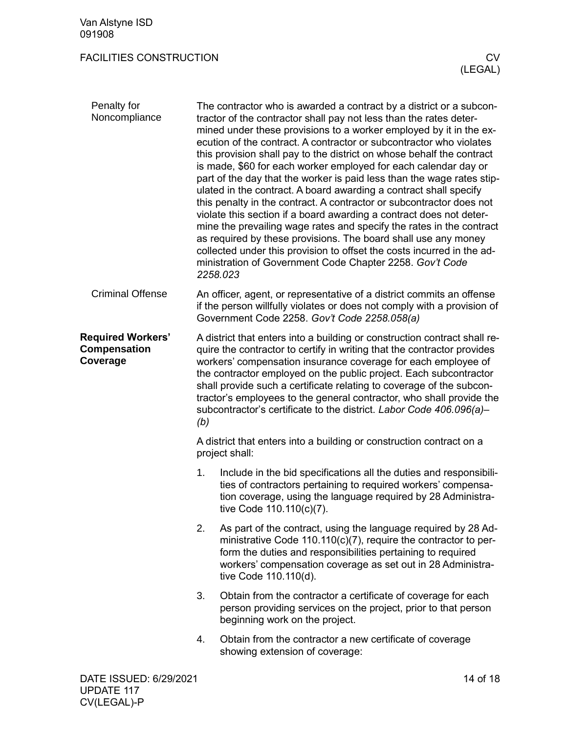<span id="page-13-2"></span><span id="page-13-1"></span><span id="page-13-0"></span>

| Penalty for<br>Noncompliance                         |                                                                                                                                                                                                                                                                                                                                                                                                                                                                                                                          | The contractor who is awarded a contract by a district or a subcon-<br>tractor of the contractor shall pay not less than the rates deter-<br>mined under these provisions to a worker employed by it in the ex-<br>ecution of the contract. A contractor or subcontractor who violates<br>this provision shall pay to the district on whose behalf the contract<br>is made, \$60 for each worker employed for each calendar day or<br>part of the day that the worker is paid less than the wage rates stip-<br>ulated in the contract. A board awarding a contract shall specify<br>this penalty in the contract. A contractor or subcontractor does not<br>violate this section if a board awarding a contract does not deter-<br>mine the prevailing wage rates and specify the rates in the contract<br>as required by these provisions. The board shall use any money<br>collected under this provision to offset the costs incurred in the ad-<br>ministration of Government Code Chapter 2258. Gov't Code<br>2258.023 |  |
|------------------------------------------------------|--------------------------------------------------------------------------------------------------------------------------------------------------------------------------------------------------------------------------------------------------------------------------------------------------------------------------------------------------------------------------------------------------------------------------------------------------------------------------------------------------------------------------|------------------------------------------------------------------------------------------------------------------------------------------------------------------------------------------------------------------------------------------------------------------------------------------------------------------------------------------------------------------------------------------------------------------------------------------------------------------------------------------------------------------------------------------------------------------------------------------------------------------------------------------------------------------------------------------------------------------------------------------------------------------------------------------------------------------------------------------------------------------------------------------------------------------------------------------------------------------------------------------------------------------------------|--|
| <b>Criminal Offense</b>                              | An officer, agent, or representative of a district commits an offense<br>if the person willfully violates or does not comply with a provision of<br>Government Code 2258. Gov't Code 2258.058(a)                                                                                                                                                                                                                                                                                                                         |                                                                                                                                                                                                                                                                                                                                                                                                                                                                                                                                                                                                                                                                                                                                                                                                                                                                                                                                                                                                                              |  |
| <b>Required Workers'</b><br>Compensation<br>Coverage | A district that enters into a building or construction contract shall re-<br>quire the contractor to certify in writing that the contractor provides<br>workers' compensation insurance coverage for each employee of<br>the contractor employed on the public project. Each subcontractor<br>shall provide such a certificate relating to coverage of the subcon-<br>tractor's employees to the general contractor, who shall provide the<br>subcontractor's certificate to the district. Labor Code 406.096(a)-<br>(b) |                                                                                                                                                                                                                                                                                                                                                                                                                                                                                                                                                                                                                                                                                                                                                                                                                                                                                                                                                                                                                              |  |
|                                                      | A district that enters into a building or construction contract on a<br>project shall:                                                                                                                                                                                                                                                                                                                                                                                                                                   |                                                                                                                                                                                                                                                                                                                                                                                                                                                                                                                                                                                                                                                                                                                                                                                                                                                                                                                                                                                                                              |  |
|                                                      | 1.                                                                                                                                                                                                                                                                                                                                                                                                                                                                                                                       | Include in the bid specifications all the duties and responsibili-<br>ties of contractors pertaining to required workers' compensa-<br>tion coverage, using the language required by 28 Administra-<br>tive Code 110.110(c)(7).                                                                                                                                                                                                                                                                                                                                                                                                                                                                                                                                                                                                                                                                                                                                                                                              |  |
|                                                      | 2.                                                                                                                                                                                                                                                                                                                                                                                                                                                                                                                       | As part of the contract, using the language required by 28 Ad-<br>ministrative Code $110.110(c)(7)$ , require the contractor to per-<br>form the duties and responsibilities pertaining to required<br>workers' compensation coverage as set out in 28 Administra-<br>tive Code 110.110(d).                                                                                                                                                                                                                                                                                                                                                                                                                                                                                                                                                                                                                                                                                                                                  |  |
|                                                      | 3.                                                                                                                                                                                                                                                                                                                                                                                                                                                                                                                       | Obtain from the contractor a certificate of coverage for each<br>person providing services on the project, prior to that person<br>beginning work on the project.                                                                                                                                                                                                                                                                                                                                                                                                                                                                                                                                                                                                                                                                                                                                                                                                                                                            |  |
|                                                      | 4.                                                                                                                                                                                                                                                                                                                                                                                                                                                                                                                       | Obtain from the contractor a new certificate of coverage<br>showing extension of coverage:                                                                                                                                                                                                                                                                                                                                                                                                                                                                                                                                                                                                                                                                                                                                                                                                                                                                                                                                   |  |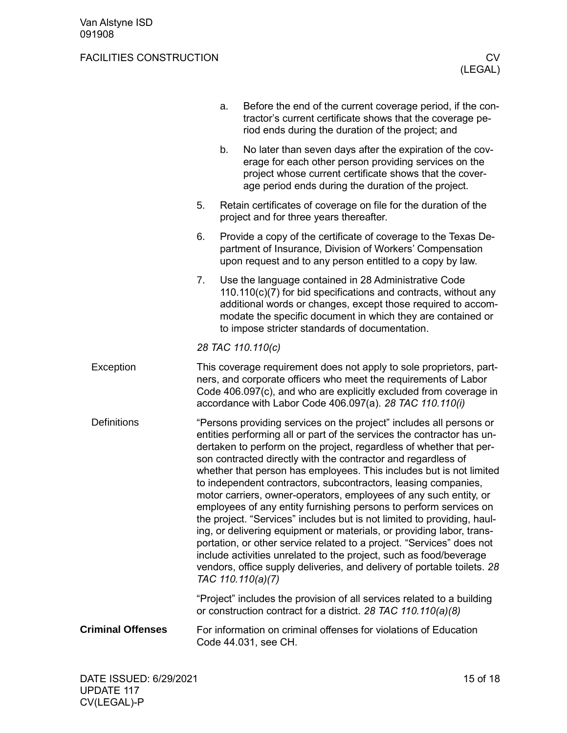<span id="page-14-2"></span><span id="page-14-1"></span><span id="page-14-0"></span>

|                          | a. | Before the end of the current coverage period, if the con-<br>tractor's current certificate shows that the coverage pe-<br>riod ends during the duration of the project; and                                                                                                                                                                                                                                                                                                                                                                                                                                                                                                                                                                                                                                                                                                                                                                                                |
|--------------------------|----|-----------------------------------------------------------------------------------------------------------------------------------------------------------------------------------------------------------------------------------------------------------------------------------------------------------------------------------------------------------------------------------------------------------------------------------------------------------------------------------------------------------------------------------------------------------------------------------------------------------------------------------------------------------------------------------------------------------------------------------------------------------------------------------------------------------------------------------------------------------------------------------------------------------------------------------------------------------------------------|
|                          | b. | No later than seven days after the expiration of the cov-<br>erage for each other person providing services on the<br>project whose current certificate shows that the cover-<br>age period ends during the duration of the project.                                                                                                                                                                                                                                                                                                                                                                                                                                                                                                                                                                                                                                                                                                                                        |
|                          | 5. | Retain certificates of coverage on file for the duration of the<br>project and for three years thereafter.                                                                                                                                                                                                                                                                                                                                                                                                                                                                                                                                                                                                                                                                                                                                                                                                                                                                  |
|                          | 6. | Provide a copy of the certificate of coverage to the Texas De-<br>partment of Insurance, Division of Workers' Compensation<br>upon request and to any person entitled to a copy by law.                                                                                                                                                                                                                                                                                                                                                                                                                                                                                                                                                                                                                                                                                                                                                                                     |
|                          | 7. | Use the language contained in 28 Administrative Code<br>$110.110(c)(7)$ for bid specifications and contracts, without any<br>additional words or changes, except those required to accom-<br>modate the specific document in which they are contained or<br>to impose stricter standards of documentation.                                                                                                                                                                                                                                                                                                                                                                                                                                                                                                                                                                                                                                                                  |
|                          |    | 28 TAC 110.110(c)                                                                                                                                                                                                                                                                                                                                                                                                                                                                                                                                                                                                                                                                                                                                                                                                                                                                                                                                                           |
| Exception                |    | This coverage requirement does not apply to sole proprietors, part-<br>ners, and corporate officers who meet the requirements of Labor<br>Code 406.097(c), and who are explicitly excluded from coverage in<br>accordance with Labor Code 406.097(a). 28 TAC 110.110(i)                                                                                                                                                                                                                                                                                                                                                                                                                                                                                                                                                                                                                                                                                                     |
| <b>Definitions</b>       |    | "Persons providing services on the project" includes all persons or<br>entities performing all or part of the services the contractor has un-<br>dertaken to perform on the project, regardless of whether that per-<br>son contracted directly with the contractor and regardless of<br>whether that person has employees. This includes but is not limited<br>to independent contractors, subcontractors, leasing companies,<br>motor carriers, owner-operators, employees of any such entity, or<br>employees of any entity furnishing persons to perform services on<br>the project. "Services" includes but is not limited to providing, haul-<br>ing, or delivering equipment or materials, or providing labor, trans-<br>portation, or other service related to a project. "Services" does not<br>include activities unrelated to the project, such as food/beverage<br>vendors, office supply deliveries, and delivery of portable toilets. 28<br>TAC 110.110(a)(7) |
|                          |    | "Project" includes the provision of all services related to a building<br>or construction contract for a district. 28 TAC 110.110(a)(8)                                                                                                                                                                                                                                                                                                                                                                                                                                                                                                                                                                                                                                                                                                                                                                                                                                     |
| <b>Criminal Offenses</b> |    | For information on criminal offenses for violations of Education<br>Code 44.031, see CH.                                                                                                                                                                                                                                                                                                                                                                                                                                                                                                                                                                                                                                                                                                                                                                                                                                                                                    |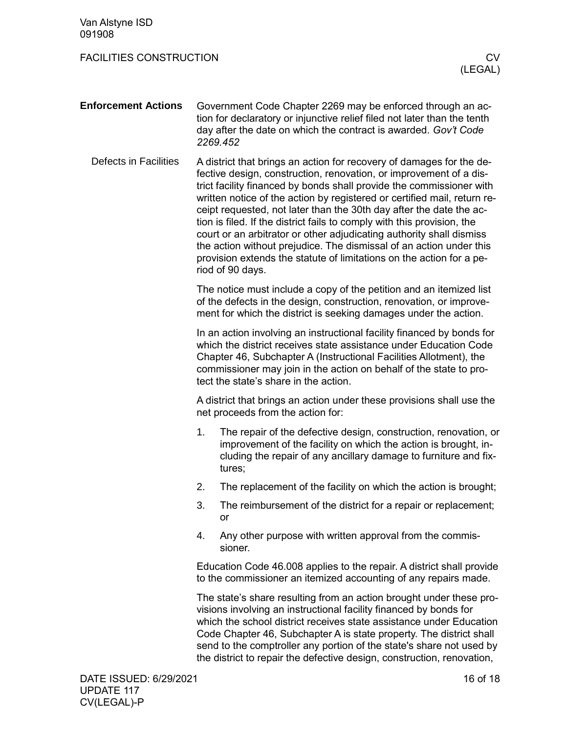<span id="page-15-1"></span><span id="page-15-0"></span>

| Van Alstyne ISD<br>091908      |                                                                                                                                                                                                                                                                                                                                  |                                                                                                                                                                                                                                                                                                                                                                                                                                                                                                                                                                                                                                                                                             |  |
|--------------------------------|----------------------------------------------------------------------------------------------------------------------------------------------------------------------------------------------------------------------------------------------------------------------------------------------------------------------------------|---------------------------------------------------------------------------------------------------------------------------------------------------------------------------------------------------------------------------------------------------------------------------------------------------------------------------------------------------------------------------------------------------------------------------------------------------------------------------------------------------------------------------------------------------------------------------------------------------------------------------------------------------------------------------------------------|--|
| <b>FACILITIES CONSTRUCTION</b> |                                                                                                                                                                                                                                                                                                                                  | CV<br>(LEGAL)                                                                                                                                                                                                                                                                                                                                                                                                                                                                                                                                                                                                                                                                               |  |
| <b>Enforcement Actions</b>     |                                                                                                                                                                                                                                                                                                                                  | Government Code Chapter 2269 may be enforced through an ac-<br>tion for declaratory or injunctive relief filed not later than the tenth<br>day after the date on which the contract is awarded. Gov't Code<br>2269.452                                                                                                                                                                                                                                                                                                                                                                                                                                                                      |  |
| Defects in Facilities          |                                                                                                                                                                                                                                                                                                                                  | A district that brings an action for recovery of damages for the de-<br>fective design, construction, renovation, or improvement of a dis-<br>trict facility financed by bonds shall provide the commissioner with<br>written notice of the action by registered or certified mail, return re-<br>ceipt requested, not later than the 30th day after the date the ac-<br>tion is filed. If the district fails to comply with this provision, the<br>court or an arbitrator or other adjudicating authority shall dismiss<br>the action without prejudice. The dismissal of an action under this<br>provision extends the statute of limitations on the action for a pe-<br>riod of 90 days. |  |
|                                | The notice must include a copy of the petition and an itemized list<br>of the defects in the design, construction, renovation, or improve-<br>ment for which the district is seeking damages under the action.                                                                                                                   |                                                                                                                                                                                                                                                                                                                                                                                                                                                                                                                                                                                                                                                                                             |  |
|                                | In an action involving an instructional facility financed by bonds for<br>which the district receives state assistance under Education Code<br>Chapter 46, Subchapter A (Instructional Facilities Allotment), the<br>commissioner may join in the action on behalf of the state to pro-<br>tect the state's share in the action. |                                                                                                                                                                                                                                                                                                                                                                                                                                                                                                                                                                                                                                                                                             |  |
|                                | A district that brings an action under these provisions shall use the<br>net proceeds from the action for:                                                                                                                                                                                                                       |                                                                                                                                                                                                                                                                                                                                                                                                                                                                                                                                                                                                                                                                                             |  |
|                                |                                                                                                                                                                                                                                                                                                                                  | 1. The repair of the defective design, construction, renovation, or<br>improvement of the facility on which the action is brought, in-<br>cluding the repair of any ancillary damage to furniture and fix-<br>tures;                                                                                                                                                                                                                                                                                                                                                                                                                                                                        |  |
|                                | 2.                                                                                                                                                                                                                                                                                                                               | The replacement of the facility on which the action is brought;                                                                                                                                                                                                                                                                                                                                                                                                                                                                                                                                                                                                                             |  |
|                                | 3.                                                                                                                                                                                                                                                                                                                               | The reimbursement of the district for a repair or replacement;<br>or                                                                                                                                                                                                                                                                                                                                                                                                                                                                                                                                                                                                                        |  |
|                                | 4.                                                                                                                                                                                                                                                                                                                               | Any other purpose with written approval from the commis-<br>sioner.                                                                                                                                                                                                                                                                                                                                                                                                                                                                                                                                                                                                                         |  |
|                                | Education Code 46.008 applies to the repair. A district shall provide<br>to the commissioner an itemized accounting of any repairs made.                                                                                                                                                                                         |                                                                                                                                                                                                                                                                                                                                                                                                                                                                                                                                                                                                                                                                                             |  |
|                                |                                                                                                                                                                                                                                                                                                                                  | The state's share resulting from an action brought under these pro-<br>visions involving an instructional facility financed by bonds for<br>which the school district receives state assistance under Education<br>Code Chapter 46, Subchapter A is state property. The district shall<br>send to the comptroller any portion of the state's share not used by<br>the district to repair the defective design, construction, renovation,                                                                                                                                                                                                                                                    |  |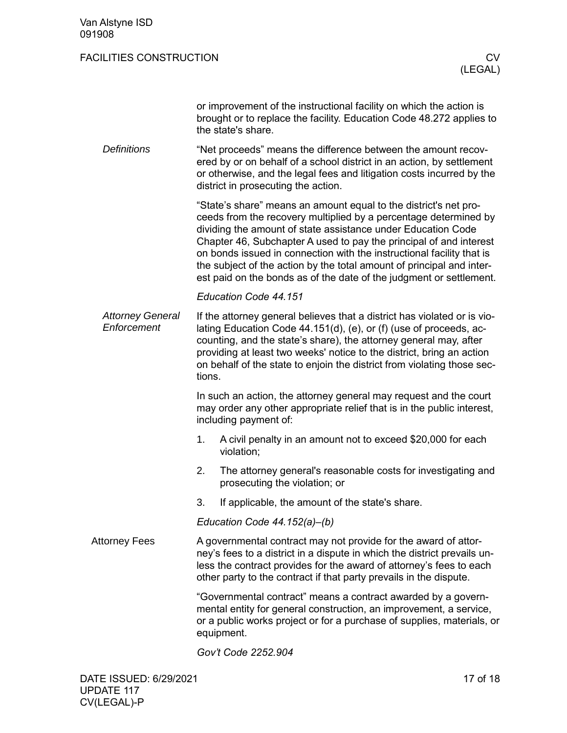| or improvement of the instructional facility on which the action is  |
|----------------------------------------------------------------------|
| brought or to replace the facility. Education Code 48.272 applies to |
| the state's share.                                                   |

"Net proceeds" means the difference between the amount recovered by or on behalf of a school district in an action, by settlement or otherwise, and the legal fees and litigation costs incurred by the district in prosecuting the action. *Definitions*

> "State's share" means an amount equal to the district's net proceeds from the recovery multiplied by a percentage determined by dividing the amount of state assistance under Education Code Chapter 46, Subchapter A used to pay the principal of and interest on bonds issued in connection with the instructional facility that is the subject of the action by the total amount of principal and interest paid on the bonds as of the date of the judgment or settlement.

#### *Education Code 44.151*

If the attorney general believes that a district has violated or is violating Education Code 44.151(d), (e), or (f) (use of proceeds, accounting, and the state's share), the attorney general may, after providing at least two weeks' notice to the district, bring an action on behalf of the state to enjoin the district from violating those sections. *Attorney General Enforcement*

> In such an action, the attorney general may request and the court may order any other appropriate relief that is in the public interest, including payment of:

- 1. A civil penalty in an amount not to exceed \$20,000 for each violation;
- 2. The attorney general's reasonable costs for investigating and prosecuting the violation; or
- 3. If applicable, the amount of the state's share.

*Education Code 44.152(a)–(b)*

<span id="page-16-0"></span>A governmental contract may not provide for the award of attorney's fees to a district in a dispute in which the district prevails unless the contract provides for the award of attorney's fees to each other party to the contract if that party prevails in the dispute. Attorney Fees

> "Governmental contract" means a contract awarded by a governmental entity for general construction, an improvement, a service, or a public works project or for a purchase of supplies, materials, or equipment.

*Gov't Code 2252.904*